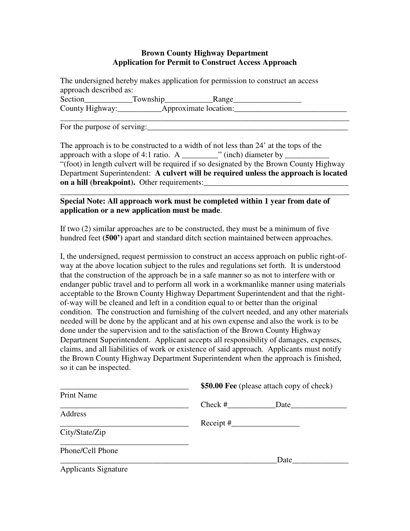#### **Brown County Highway Department Application for Permit to Construct Access Approach**

The undersigned hereby makes application for permission to construct an access approach described as: Section\_\_\_\_\_\_\_\_\_\_\_\_Township\_\_\_\_\_\_\_\_\_\_\_\_Range\_\_\_\_\_\_\_\_\_\_\_\_\_\_\_\_\_

County Highway: \_\_\_\_\_\_\_\_\_\_\_\_\_\_\_Approximate location: \_\_\_\_\_\_\_\_\_\_\_\_\_\_\_\_\_\_\_\_\_\_\_\_\_\_\_\_ \_\_\_\_\_\_\_\_\_\_\_\_\_\_\_\_\_\_\_\_\_\_\_\_\_\_\_\_\_\_\_\_\_\_\_\_\_\_\_\_\_\_\_\_\_\_\_\_\_\_\_\_\_\_\_\_\_\_\_\_\_\_\_\_\_\_\_\_\_\_\_\_

For the purpose of serving:\_\_\_\_\_\_\_\_\_\_\_\_\_\_\_\_\_\_\_\_\_\_\_\_\_\_\_\_\_\_\_\_\_\_\_\_\_\_\_\_\_\_\_\_\_\_\_\_\_\_

The approach is to be constructed to a width of not less than 24' at the tops of the approach with a slope of 4:1 ratio. A  $\blacksquare$  (inch) diameter by "(foot) in length culvert will be required if so designated by the Brown County Highway Department Superintendent: **A culvert will be required unless the approach is located on a hill (breakpoint).** Other requirements:\_\_\_\_\_\_\_\_\_\_\_\_\_\_\_\_\_\_\_\_\_\_\_\_\_\_\_\_\_\_\_\_\_\_\_\_

\_\_\_\_\_\_\_\_\_\_\_\_\_\_\_\_\_\_\_\_\_\_\_\_\_\_\_\_\_\_\_\_\_\_\_\_\_\_\_\_\_\_\_\_\_\_\_\_\_\_\_\_\_\_\_\_\_\_\_\_\_\_\_\_\_\_\_\_\_\_\_\_

#### **Special Note: All approach work must be completed within 1 year from date of application or a new application must be made**.

If two (2) similar approaches are to be constructed, they must be a minimum of five hundred feet **(500')** apart and standard ditch section maintained between approaches.

I, the undersigned, request permission to construct an access approach on public right-ofway at the above location subject to the rules and regulations set forth. It is understood that the construction of the approach be in a safe manner so as not to interfere with or endanger public travel and to perform all work in a workmanlike manner using materials acceptable to the Brown County Highway Department Superintendent and that the rightof-way will be cleaned and left in a condition equal to or better than the original condition. The construction and furnishing of the culvert needed, and any other materials needed will be done by the applicant and at his own expense and also the work is to be done under the supervision and to the satisfaction of the Brown County Highway Department Superintendent. Applicant accepts all responsibility of damages, expenses, claims, and all liabilities of work or existence of said approach. Applicants must notify the Brown County Highway Department Superintendent when the approach is finished, so it can be inspected.

|                             | \$50.00 Fee (please attach copy of check) |      |  |
|-----------------------------|-------------------------------------------|------|--|
| <b>Print Name</b>           |                                           |      |  |
|                             | $Check \#$                                | Date |  |
| Address                     |                                           |      |  |
|                             |                                           |      |  |
| City/State/Zip              |                                           |      |  |
| Phone/Cell Phone            |                                           |      |  |
|                             | Date                                      |      |  |
| <b>Applicants Signature</b> |                                           |      |  |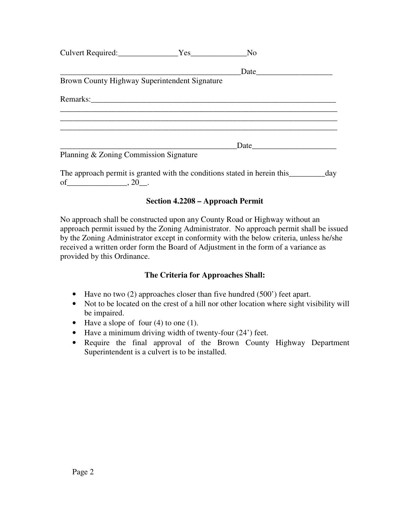| Culvert Required: Yes                         | No   |  |
|-----------------------------------------------|------|--|
|                                               |      |  |
| Brown County Highway Superintendent Signature |      |  |
|                                               |      |  |
| Planning & Zoning Commission Signature        | Date |  |

The approach permit is granted with the conditions stated in herein this \_\_\_\_\_\_\_\_\_day of \_\_\_\_\_\_\_\_\_\_\_\_\_\_\_\_\_\_\_, 20\_\_.

## **Section 4.2208 – Approach Permit**

No approach shall be constructed upon any County Road or Highway without an approach permit issued by the Zoning Administrator. No approach permit shall be issued by the Zoning Administrator except in conformity with the below criteria, unless he/she received a written order form the Board of Adjustment in the form of a variance as provided by this Ordinance.

## **The Criteria for Approaches Shall:**

- Have no two (2) approaches closer than five hundred (500') feet apart.
- Not to be located on the crest of a hill nor other location where sight visibility will be impaired.
- Have a slope of four (4) to one (1).
- Have a minimum driving width of twenty-four (24') feet.
- Require the final approval of the Brown County Highway Department Superintendent is a culvert is to be installed.